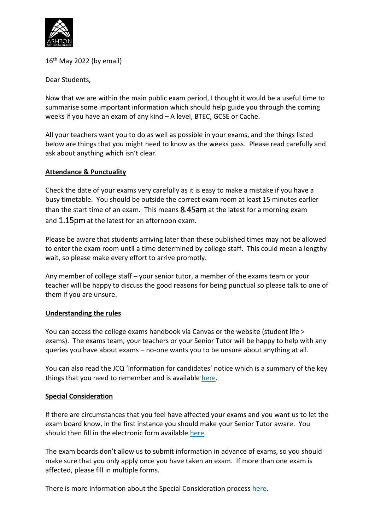

16<sup>th</sup> May 2022 (by email)

Dear Students,

Now that we are within the main public exam period, I thought it would be a useful time to summarise some important information which should help guide you through the coming weeks if you have an exam of any kind – A level, BTEC, GCSE or Cache.

All your teachers want you to do as well as possible in your exams, and the things listed below are things that you might need to know as the weeks pass. Please read carefully and ask about anything which isn't clear.

### **Attendance & Punctuality**

Check the date of your exams very carefully as it is easy to make a mistake if you have a busy timetable. You should be outside the correct exam room at least 15 minutes earlier than the start time of an exam. This means 8.45am at the latest for a morning exam and 1.15pm at the latest for an afternoon exam.

Please be aware that students arriving later than these published times may not be allowed to enter the exam room until a time determined by college staff. This could mean a lengthy wait, so please make every effort to arrive promptly.

Any member of college staff – your senior tutor, a member of the exams team or your teacher will be happy to discuss the good reasons for being punctual so please talk to one of them if you are unsure.

### **Understanding the rules**

You can access the college exams handbook via Canvas or the website (student life > exams). The exams team, your teachers or your Senior Tutor will be happy to help with any queries you have about exams – no-one wants you to be unsure about anything at all.

You can also read the JCQ 'information for candidates' notice which is a summary of the key things that you need to remember and is available [here.](https://www.jcq.org.uk/exams-office/information-for-candidates-documents/)

# **Special Consideration**

If there are circumstances that you feel have affected your exams and you want us to let the exam board know, in the first instance you should make your Senior Tutor aware. You should then fill in the electronic form available [here.](https://apps.powerapps.com/play/57b9d5aa-eaa7-47fd-a704-dc57d8dcc7a9?tenantId=3458e6c2-34b6-406a-8ba8-3495e851d128&source=portal&screenColor=RGBA%280%2C176%2C240%2C1%29)

The exam boards don't allow us to submit information in advance of exams, so you should make sure that you only apply once you have taken an exam. If more than one exam is affected, please fill in multiple forms.

There is more information about the Special Consideration process [here.](https://www.jcq.org.uk/exams-office/access-arrangements-and-special-consideration/regulations-and-guidance/)